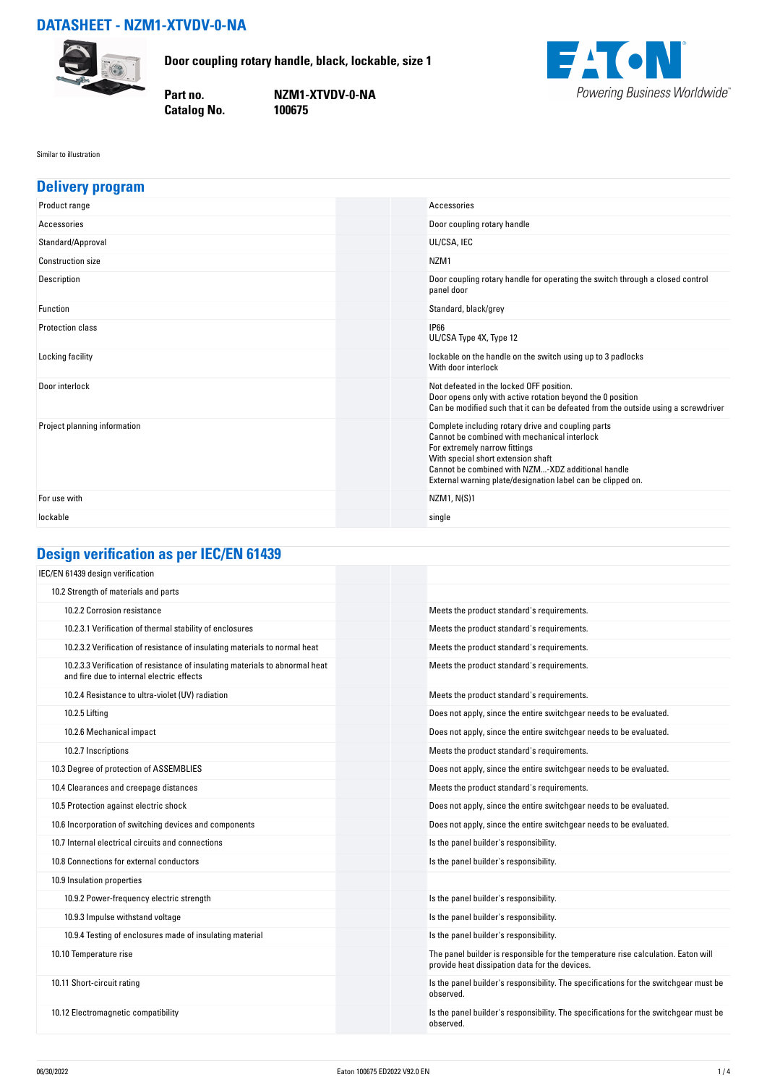# **DATASHEET - NZM1-XTVDV-0-NA**



**Door coupling rotary handle, black, lockable, size 1**

**Catalog No.** 

**Part no. NZM1-XTVDV-0-NA**



#### Similar to illustration

| <b>Delivery program</b>      |                                                                                                                                                                                                                                                                                               |
|------------------------------|-----------------------------------------------------------------------------------------------------------------------------------------------------------------------------------------------------------------------------------------------------------------------------------------------|
| Product range                | Accessories                                                                                                                                                                                                                                                                                   |
| Accessories                  | Door coupling rotary handle                                                                                                                                                                                                                                                                   |
| Standard/Approval            | UL/CSA, IEC                                                                                                                                                                                                                                                                                   |
| <b>Construction size</b>     | NZM <sub>1</sub>                                                                                                                                                                                                                                                                              |
| Description                  | Door coupling rotary handle for operating the switch through a closed control<br>panel door                                                                                                                                                                                                   |
| <b>Function</b>              | Standard, black/grey                                                                                                                                                                                                                                                                          |
| <b>Protection class</b>      | <b>IP66</b><br>UL/CSA Type 4X, Type 12                                                                                                                                                                                                                                                        |
| Locking facility             | lockable on the handle on the switch using up to 3 padlocks<br>With door interlock                                                                                                                                                                                                            |
| Door interlock               | Not defeated in the locked OFF position.<br>Door opens only with active rotation beyond the 0 position<br>Can be modified such that it can be defeated from the outside using a screwdriver                                                                                                   |
| Project planning information | Complete including rotary drive and coupling parts<br>Cannot be combined with mechanical interlock<br>For extremely narrow fittings<br>With special short extension shaft<br>Cannot be combined with NZM-XDZ additional handle<br>External warning plate/designation label can be clipped on. |
| For use with                 | NZM1, N(S)1                                                                                                                                                                                                                                                                                   |
| lockable                     | single                                                                                                                                                                                                                                                                                        |

# **Design verification as per IEC/EN 61439**

| IEC/EN 61439 design verification                                                                                          |                                                                                                                                     |
|---------------------------------------------------------------------------------------------------------------------------|-------------------------------------------------------------------------------------------------------------------------------------|
| 10.2 Strength of materials and parts                                                                                      |                                                                                                                                     |
| 10.2.2 Corrosion resistance                                                                                               | Meets the product standard's requirements.                                                                                          |
| 10.2.3.1 Verification of thermal stability of enclosures                                                                  | Meets the product standard's requirements.                                                                                          |
| 10.2.3.2 Verification of resistance of insulating materials to normal heat                                                | Meets the product standard's requirements.                                                                                          |
| 10.2.3.3 Verification of resistance of insulating materials to abnormal heat<br>and fire due to internal electric effects | Meets the product standard's requirements.                                                                                          |
| 10.2.4 Resistance to ultra-violet (UV) radiation                                                                          | Meets the product standard's requirements.                                                                                          |
| 10.2.5 Lifting                                                                                                            | Does not apply, since the entire switchgear needs to be evaluated.                                                                  |
| 10.2.6 Mechanical impact                                                                                                  | Does not apply, since the entire switchgear needs to be evaluated.                                                                  |
| 10.2.7 Inscriptions                                                                                                       | Meets the product standard's requirements.                                                                                          |
| 10.3 Degree of protection of ASSEMBLIES                                                                                   | Does not apply, since the entire switchgear needs to be evaluated.                                                                  |
| 10.4 Clearances and creepage distances                                                                                    | Meets the product standard's requirements.                                                                                          |
| 10.5 Protection against electric shock                                                                                    | Does not apply, since the entire switchgear needs to be evaluated.                                                                  |
| 10.6 Incorporation of switching devices and components                                                                    | Does not apply, since the entire switchgear needs to be evaluated.                                                                  |
| 10.7 Internal electrical circuits and connections                                                                         | Is the panel builder's responsibility.                                                                                              |
| 10.8 Connections for external conductors                                                                                  | Is the panel builder's responsibility.                                                                                              |
| 10.9 Insulation properties                                                                                                |                                                                                                                                     |
| 10.9.2 Power-frequency electric strength                                                                                  | Is the panel builder's responsibility.                                                                                              |
| 10.9.3 Impulse withstand voltage                                                                                          | Is the panel builder's responsibility.                                                                                              |
| 10.9.4 Testing of enclosures made of insulating material                                                                  | Is the panel builder's responsibility.                                                                                              |
| 10.10 Temperature rise                                                                                                    | The panel builder is responsible for the temperature rise calculation. Eaton will<br>provide heat dissipation data for the devices. |
| 10.11 Short-circuit rating                                                                                                | Is the panel builder's responsibility. The specifications for the switchgear must be<br>observed.                                   |
| 10.12 Electromagnetic compatibility                                                                                       | Is the panel builder's responsibility. The specifications for the switchgear must be<br>observed.                                   |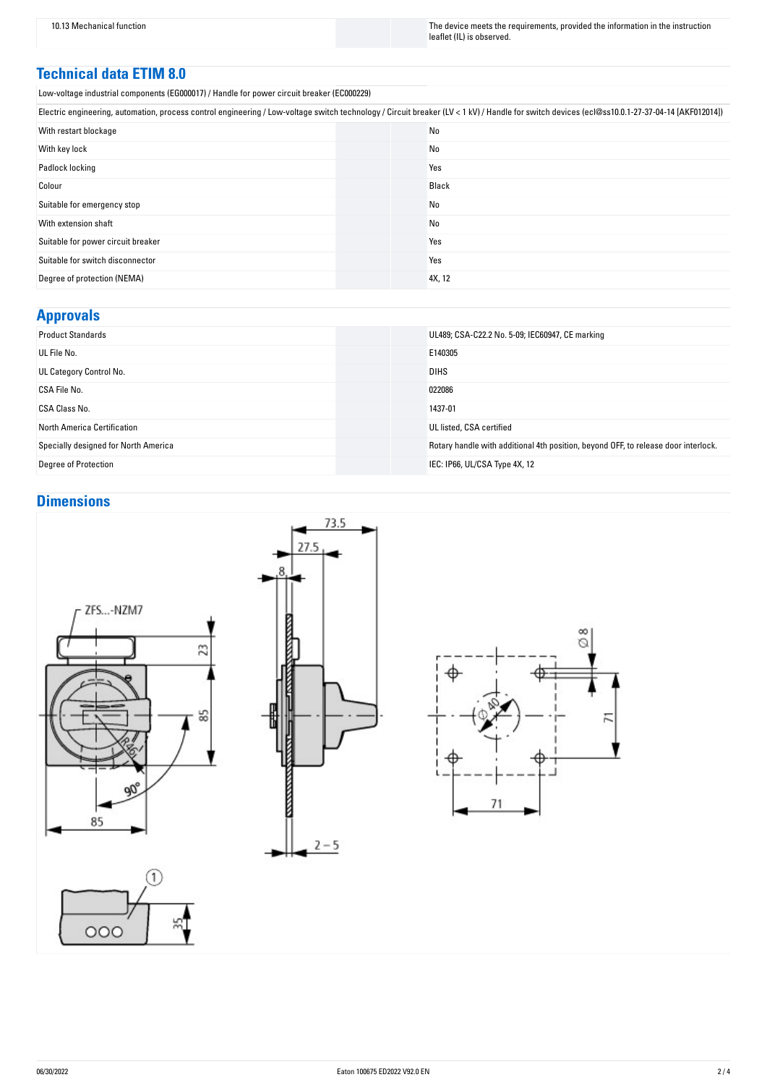10.13 Mechanical function The instruction The device meets the requirements, provided the information in the instruction leaflet (IL) is observed.

#### **Technical data ETIM 8.0**

Low-voltage industrial components (EG000017) / Handle for power circuit breaker (EC000229)

| Electric engineering, automation, process control engineering / Low-voltage switch technology / Circuit breaker (LV < 1 kV) / Handle for switch devices (ecl@ss10.0.1-27-37-04-14 [AKF012014]) |        |  |
|------------------------------------------------------------------------------------------------------------------------------------------------------------------------------------------------|--------|--|
| With restart blockage                                                                                                                                                                          | No     |  |
| With key lock                                                                                                                                                                                  | No     |  |
| Padlock locking                                                                                                                                                                                | Yes    |  |
| Colour                                                                                                                                                                                         | Black  |  |
| Suitable for emergency stop                                                                                                                                                                    | No     |  |
| With extension shaft                                                                                                                                                                           | No     |  |
| Suitable for power circuit breaker                                                                                                                                                             | Yes    |  |
| Suitable for switch disconnector                                                                                                                                                               | Yes    |  |
| Degree of protection (NEMA)                                                                                                                                                                    | 4X, 12 |  |

### **Approvals**

| <b>Product Standards</b>             | UL489; CSA-C22.2 No. 5-09; IEC60947, CE marking                                    |
|--------------------------------------|------------------------------------------------------------------------------------|
| UL File No.                          | E140305                                                                            |
| UL Category Control No.              | <b>DIHS</b>                                                                        |
| CSA File No.                         | 022086                                                                             |
| CSA Class No.                        | 1437-01                                                                            |
| <b>North America Certification</b>   | UL listed, CSA certified                                                           |
| Specially designed for North America | Rotary handle with additional 4th position, beyond OFF, to release door interlock. |
| Degree of Protection                 | IEC: IP66, UL/CSA Type 4X, 12                                                      |
|                                      |                                                                                    |

# **Dimensions**





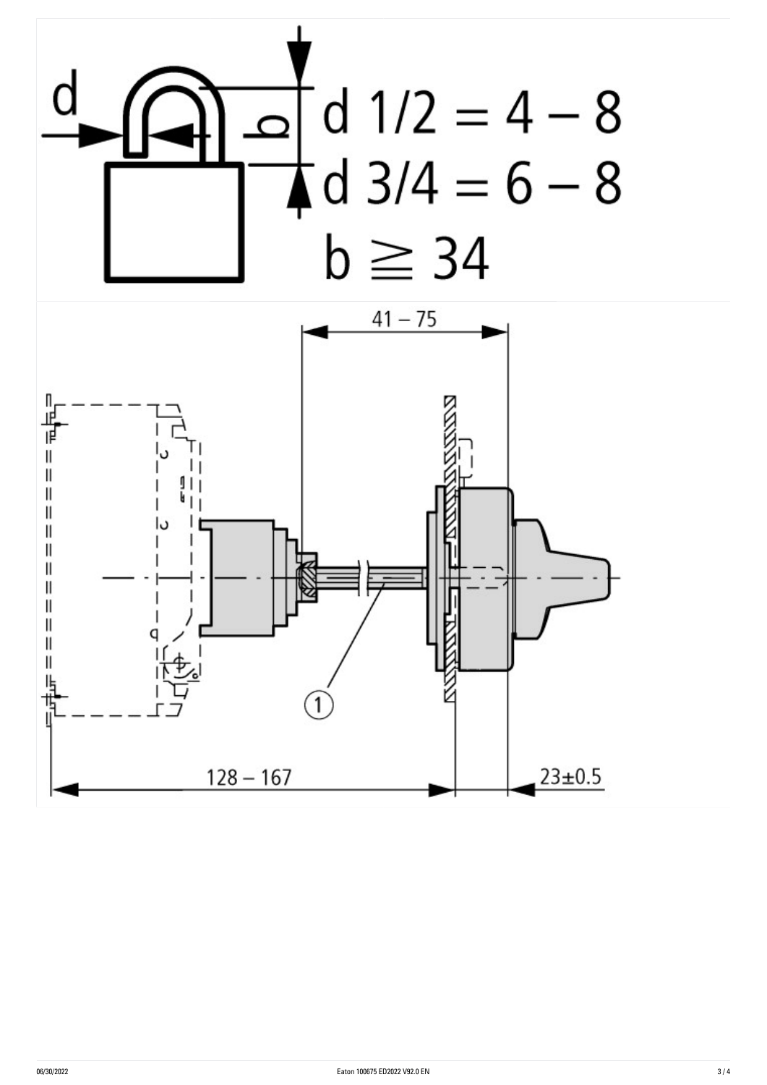